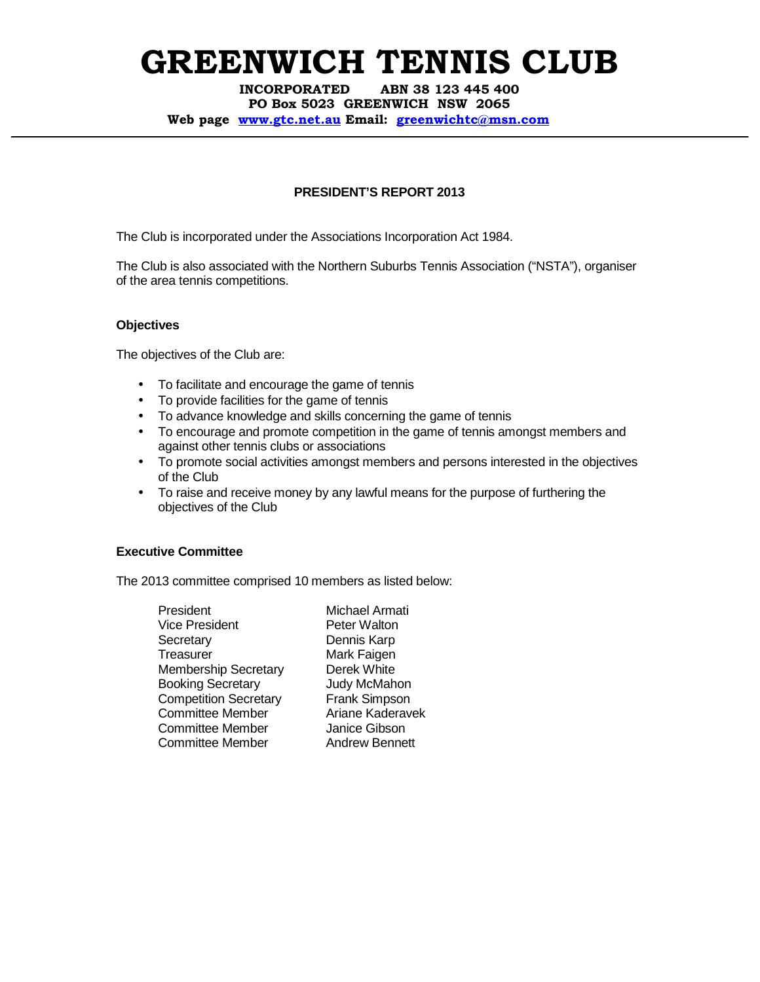INCORPORATED ABN 38 123 445 400 PO Box 5023 GREENWICH NSW 2065 Web page www.gtc.net.au Email: greenwichtc@msn.com

### **PRESIDENT'S REPORT 2013**

The Club is incorporated under the Associations Incorporation Act 1984.

The Club is also associated with the Northern Suburbs Tennis Association ("NSTA"), organiser of the area tennis competitions.

### **Objectives**

The objectives of the Club are:

- To facilitate and encourage the game of tennis
- To provide facilities for the game of tennis
- To advance knowledge and skills concerning the game of tennis
- To encourage and promote competition in the game of tennis amongst members and against other tennis clubs or associations
- To promote social activities amongst members and persons interested in the objectives of the Club
- To raise and receive money by any lawful means for the purpose of furthering the objectives of the Club

#### **Executive Committee**

The 2013 committee comprised 10 members as listed below:

President Michael Armati Vice President **Peter Walton** Secretary Dennis Karp Treasurer Mark Faigen Membership Secretary Derek White Booking Secretary **Judy McMahon**<br>
Competition Secretary Frank Simpson **Competition Secretary** Committee Member **Ariane Kaderavek** Committee Member Janice Gibson Committee Member **Andrew Bennett**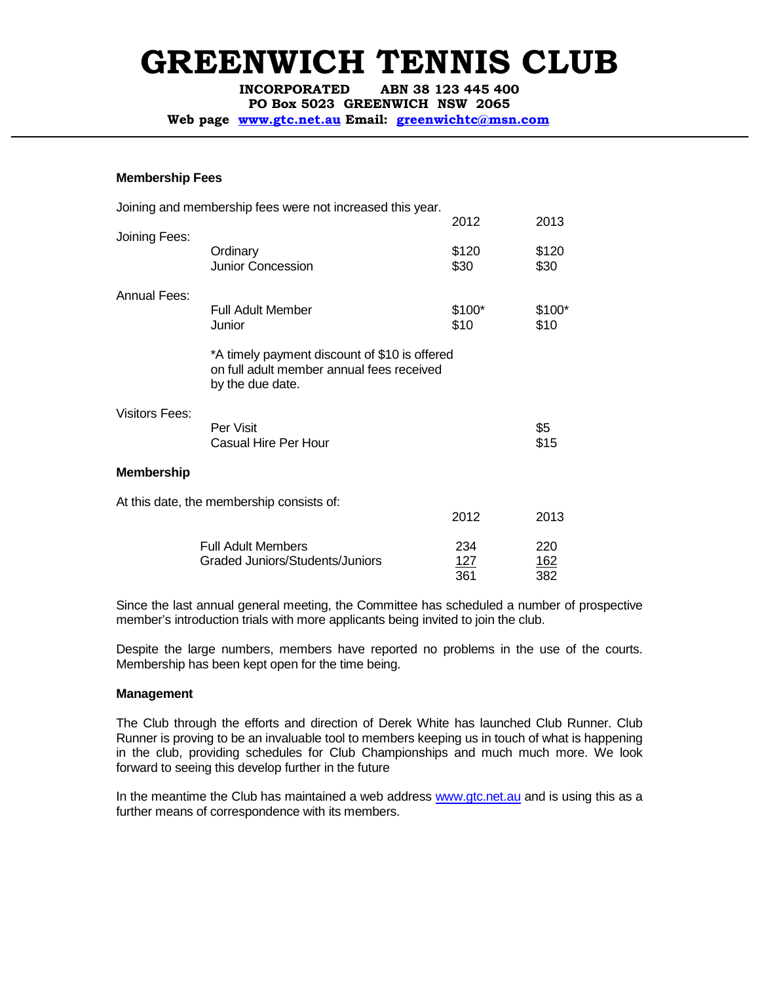INCORPORATED ABN 38 123 445 400

PO Box 5023 GREENWICH NSW 2065

Web page www.gtc.net.au Email: greenwichtc@msn.com

### **Membership Fees**

|                       | Joining and membership fees were not increased this year.                                                      |                |                   |
|-----------------------|----------------------------------------------------------------------------------------------------------------|----------------|-------------------|
|                       |                                                                                                                | 2012           | 2013              |
| Joining Fees:         | Ordinary<br><b>Junior Concession</b>                                                                           | \$120<br>\$30  | \$120<br>\$30     |
| Annual Fees:          |                                                                                                                |                |                   |
|                       | <b>Full Adult Member</b><br>Junior                                                                             | \$100*<br>\$10 | \$100*<br>\$10    |
|                       | *A timely payment discount of \$10 is offered<br>on full adult member annual fees received<br>by the due date. |                |                   |
| <b>Visitors Fees:</b> |                                                                                                                |                |                   |
|                       | Per Visit<br>Casual Hire Per Hour                                                                              |                | \$5<br>\$15       |
| <b>Membership</b>     |                                                                                                                |                |                   |
|                       | At this date, the membership consists of:                                                                      |                |                   |
|                       |                                                                                                                | 2012           | 2013              |
|                       | <b>Full Adult Members</b>                                                                                      | 234            | 220               |
|                       | Graded Juniors/Students/Juniors                                                                                | 127<br>361     | <u>162</u><br>382 |

Since the last annual general meeting, the Committee has scheduled a number of prospective member's introduction trials with more applicants being invited to join the club.

Despite the large numbers, members have reported no problems in the use of the courts. Membership has been kept open for the time being.

#### **Management**

The Club through the efforts and direction of Derek White has launched Club Runner. Club Runner is proving to be an invaluable tool to members keeping us in touch of what is happening in the club, providing schedules for Club Championships and much much more. We look forward to seeing this develop further in the future

In the meantime the Club has maintained a web address www.gtc.net.au and is using this as a further means of correspondence with its members.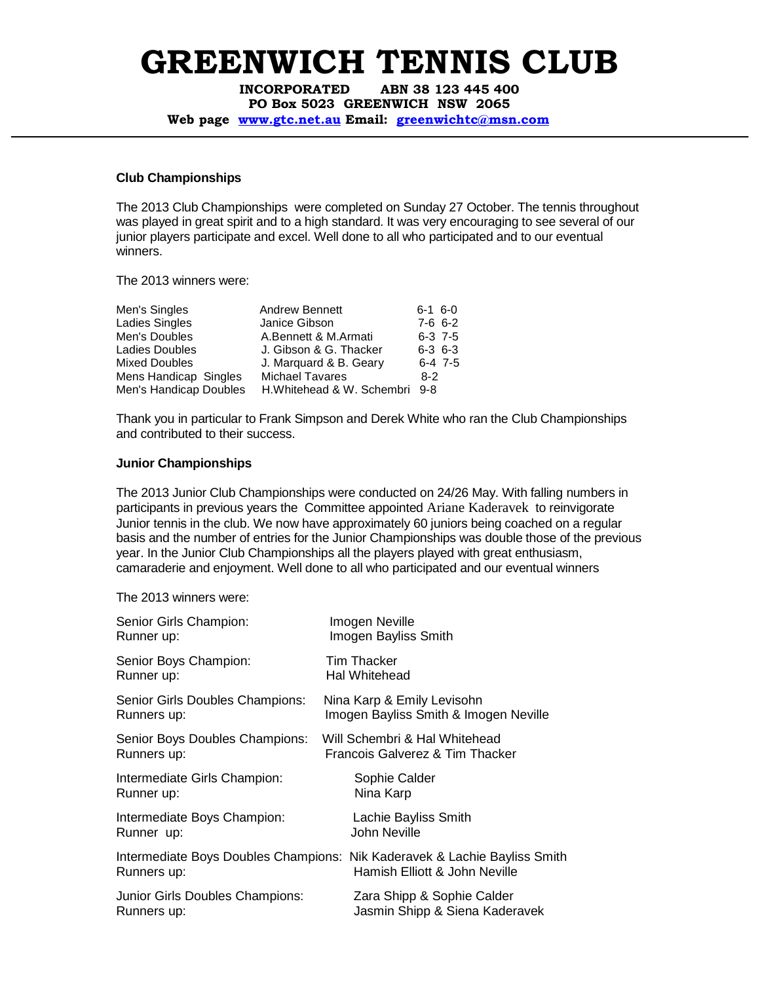INCORPORATED ABN 38 123 445 400 PO Box 5023 GREENWICH NSW 2065 Web page www.gtc.net.au Email: greenwichtc@msn.com

### **Club Championships**

The 2013 Club Championships were completed on Sunday 27 October. The tennis throughout was played in great spirit and to a high standard. It was very encouraging to see several of our junior players participate and excel. Well done to all who participated and to our eventual winners.

The 2013 winners were:

| Men's Singles          | <b>Andrew Bennett</b>         | $6-1$ 6-0   |           |
|------------------------|-------------------------------|-------------|-----------|
| <b>Ladies Singles</b>  | Janice Gibson                 | $7-6$ 6-2   |           |
| Men's Doubles          | A.Bennett & M.Armati          | $6-3$ 7-5   |           |
| <b>Ladies Doubles</b>  | J. Gibson & G. Thacker        | $6-3$ $6-3$ |           |
| <b>Mixed Doubles</b>   | J. Marguard & B. Geary        |             | $6-4$ 7-5 |
| Mens Handicap Singles  | <b>Michael Tavares</b>        | $8-2$       |           |
| Men's Handicap Doubles | H.Whitehead & W. Schembri 9-8 |             |           |

Thank you in particular to Frank Simpson and Derek White who ran the Club Championships and contributed to their success.

### **Junior Championships**

The 2013 Junior Club Championships were conducted on 24/26 May. With falling numbers in participants in previous years the Committee appointed Ariane Kaderavek to reinvigorate Junior tennis in the club. We now have approximately 60 juniors being coached on a regular basis and the number of entries for the Junior Championships was double those of the previous year. In the Junior Club Championships all the players played with great enthusiasm, camaraderie and enjoyment. Well done to all who participated and our eventual winners

The 2013 winners were:

| Senior Girls Champion:          | Imogen Neville                                                                                             |
|---------------------------------|------------------------------------------------------------------------------------------------------------|
| Runner up:                      | Imogen Bayliss Smith                                                                                       |
| Senior Boys Champion:           | Tim Thacker                                                                                                |
| Runner up:                      | Hal Whitehead                                                                                              |
| Senior Girls Doubles Champions: | Nina Karp & Emily Levisohn                                                                                 |
| Runners up:                     | Imogen Bayliss Smith & Imogen Neville                                                                      |
| Senior Boys Doubles Champions:  | Will Schembri & Hal Whitehead                                                                              |
| Runners up:                     | Francois Galverez & Tim Thacker                                                                            |
| Intermediate Girls Champion:    | Sophie Calder                                                                                              |
| Runner up:                      | Nina Karp                                                                                                  |
| Intermediate Boys Champion:     | Lachie Bayliss Smith                                                                                       |
| Runner up:                      | <b>John Neville</b>                                                                                        |
| Runners up:                     | Intermediate Boys Doubles Champions: Nik Kaderavek & Lachie Bayliss Smith<br>Hamish Elliott & John Neville |
| Junior Girls Doubles Champions: | Zara Shipp & Sophie Calder                                                                                 |
| Runners up:                     | Jasmin Shipp & Siena Kaderavek                                                                             |
|                                 |                                                                                                            |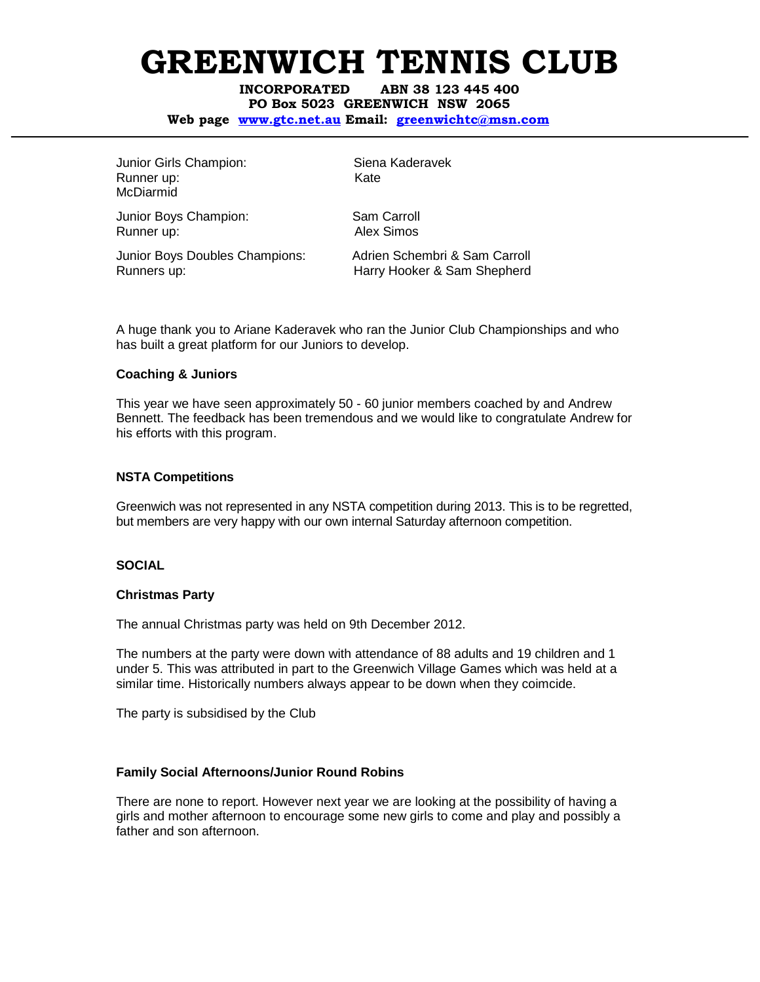INCORPORATED ABN 38 123 445 400 PO Box 5023 GREENWICH NSW 2065

Web page www.gtc.net.au Email: greenwichtc@msn.com

Junior Girls Champion: Siena Kaderavek Runner up: Kate McDiarmid

Junior Boys Champion: Sam Carroll Runner up: Alex Simos

Junior Boys Doubles Champions: Adrien Schembri & Sam Carroll Runners up: Electronic Marry Hooker & Sam Shepherd

A huge thank you to Ariane Kaderavek who ran the Junior Club Championships and who has built a great platform for our Juniors to develop.

#### **Coaching & Juniors**

This year we have seen approximately 50 - 60 junior members coached by and Andrew Bennett. The feedback has been tremendous and we would like to congratulate Andrew for his efforts with this program.

### **NSTA Competitions**

Greenwich was not represented in any NSTA competition during 2013. This is to be regretted, but members are very happy with our own internal Saturday afternoon competition.

#### **SOCIAL**

#### **Christmas Party**

The annual Christmas party was held on 9th December 2012.

The numbers at the party were down with attendance of 88 adults and 19 children and 1 under 5. This was attributed in part to the Greenwich Village Games which was held at a similar time. Historically numbers always appear to be down when they coimcide.

The party is subsidised by the Club

# **Family Social Afternoons/Junior Round Robins**

There are none to report. However next year we are looking at the possibility of having a girls and mother afternoon to encourage some new girls to come and play and possibly a father and son afternoon.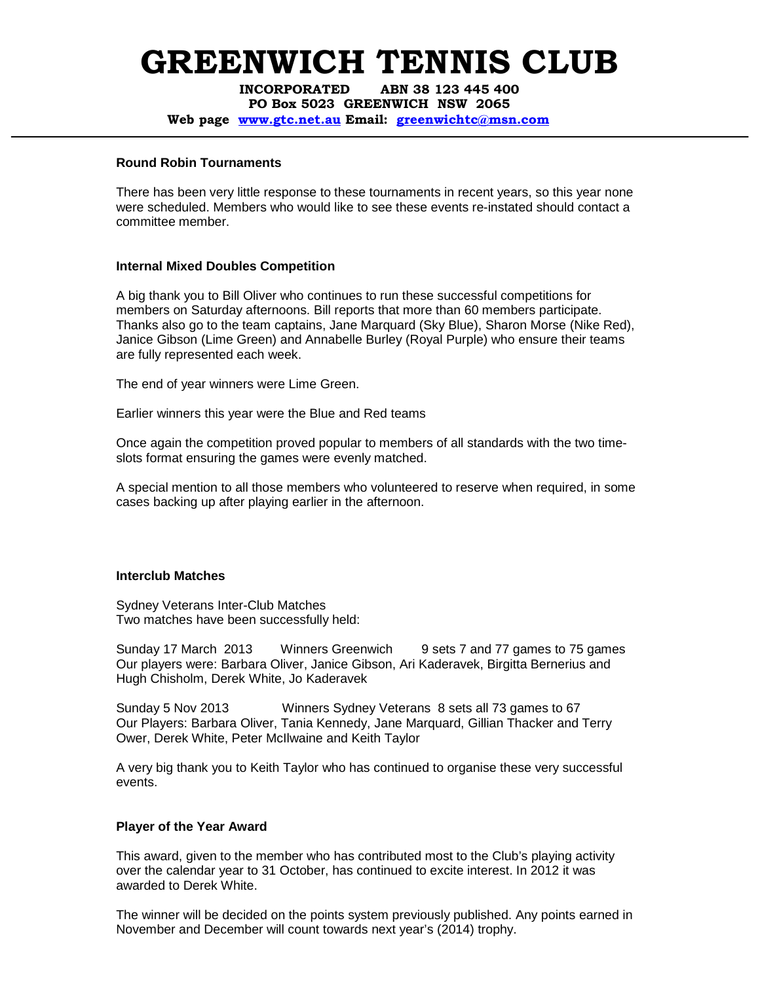INCORPORATED ABN 38 123 445 400 PO Box 5023 GREENWICH NSW 2065 Web page www.gtc.net.au Email: greenwichtc@msn.com

### **Round Robin Tournaments**

There has been very little response to these tournaments in recent years, so this year none were scheduled. Members who would like to see these events re-instated should contact a committee member.

# **Internal Mixed Doubles Competition**

A big thank you to Bill Oliver who continues to run these successful competitions for members on Saturday afternoons. Bill reports that more than 60 members participate. Thanks also go to the team captains, Jane Marquard (Sky Blue), Sharon Morse (Nike Red), Janice Gibson (Lime Green) and Annabelle Burley (Royal Purple) who ensure their teams are fully represented each week.

The end of year winners were Lime Green.

Earlier winners this year were the Blue and Red teams

Once again the competition proved popular to members of all standards with the two timeslots format ensuring the games were evenly matched.

A special mention to all those members who volunteered to reserve when required, in some cases backing up after playing earlier in the afternoon.

# **Interclub Matches**

Sydney Veterans Inter-Club Matches Two matches have been successfully held:

Sunday 17 March 2013 Winners Greenwich 9 sets 7 and 77 games to 75 games Our players were: Barbara Oliver, Janice Gibson, Ari Kaderavek, Birgitta Bernerius and Hugh Chisholm, Derek White, Jo Kaderavek

Sunday 5 Nov 2013 Winners Sydney Veterans 8 sets all 73 games to 67 Our Players: Barbara Oliver, Tania Kennedy, Jane Marquard, Gillian Thacker and Terry Ower, Derek White, Peter McIlwaine and Keith Taylor

A very big thank you to Keith Taylor who has continued to organise these very successful events.

# **Player of the Year Award**

This award, given to the member who has contributed most to the Club's playing activity over the calendar year to 31 October, has continued to excite interest. In 2012 it was awarded to Derek White.

The winner will be decided on the points system previously published. Any points earned in November and December will count towards next year's (2014) trophy.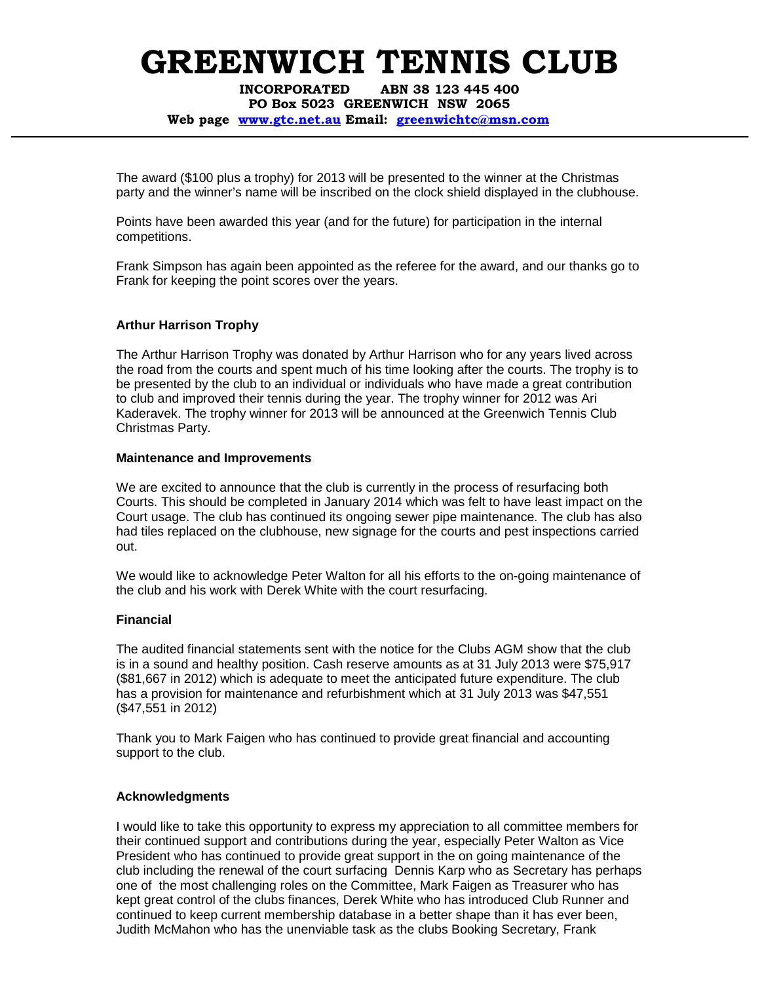INCORPORATED ABN 38 123 445 400 PO Box 5023 GREENWICH NSW 2065

Web page www.gtc.net.au Email: greenwichtc@msn.com

The award (\$100 plus a trophy) for 2013 will be presented to the winner at the Christmas party and the winner's name will be inscribed on the clock shield displayed in the clubhouse.

Points have been awarded this year (and for the future) for participation in the internal competitions.

Frank Simpson has again been appointed as the referee for the award, and our thanks go to Frank for keeping the point scores over the years.

# **Arthur Harrison Trophy**

The Arthur Harrison Trophy was donated by Arthur Harrison who for any years lived across the road from the courts and spent much of his time looking after the courts. The trophy is to be presented by the club to an individual or individuals who have made a great contribution to club and improved their tennis during the year. The trophy winner for 2012 was Ari Kaderavek. The trophy winner for 2013 will be announced at the Greenwich Tennis Club Christmas Party.

### **Maintenance and Improvements**

We are excited to announce that the club is currently in the process of resurfacing both Courts. This should be completed in January 2014 which was felt to have least impact on the Court usage. The club has continued its ongoing sewer pipe maintenance. The club has also had tiles replaced on the clubhouse, new signage for the courts and pest inspections carried out.

We would like to acknowledge Peter Walton for all his efforts to the on-going maintenance of the club and his work with Derek White with the court resurfacing.

# **Financial**

The audited financial statements sent with the notice for the Clubs AGM show that the club is in a sound and healthy position. Cash reserve amounts as at 31 July 2013 were \$75,917 (\$81,667 in 2012) which is adequate to meet the anticipated future expenditure. The club has a provision for maintenance and refurbishment which at 31 July 2013 was \$47,551 (\$47,551 in 2012)

Thank you to Mark Faigen who has continued to provide great financial and accounting support to the club.

# **Acknowledgments**

I would like to take this opportunity to express my appreciation to all committee members for their continued support and contributions during the year, especially Peter Walton as Vice President who has continued to provide great support in the on going maintenance of the club including the renewal of the court surfacing Dennis Karp who as Secretary has perhaps one of the most challenging roles on the Committee, Mark Faigen as Treasurer who has kept great control of the clubs finances, Derek White who has introduced Club Runner and continued to keep current membership database in a better shape than it has ever been, Judith McMahon who has the unenviable task as the clubs Booking Secretary, Frank